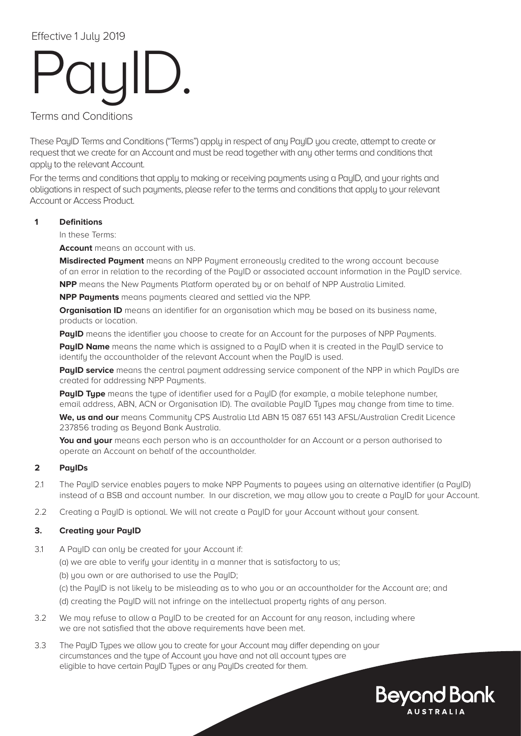# PayID.

Terms and Conditions

These PayID Terms and Conditions ("Terms") apply in respect of any PayID you create, attempt to create or request that we create for an Account and must be read together with any other terms and conditions that apply to the relevant Account.

For the terms and conditions that apply to making or receiving payments using a PayID, and your rights and obligations in respect of such payments, please refer to the terms and conditions that apply to your relevant Account or Access Product.

### **1 Definitions**

In these Terms:

**Account** means an account with us.

**Misdirected Payment** means an NPP Payment erroneously credited to the wrong account because of an error in relation to the recording of the PayID or associated account information in the PayID service. **NPP** means the New Pauments Platform operated by or on behalf of NPP Australia Limited.

**NPP Payments** means payments cleared and settled via the NPP.

**Organisation ID** means an identifier for an organisation which may be based on its business name, products or location.

**PayID** means the identifier you choose to create for an Account for the purposes of NPP Payments.

**PayID Name** means the name which is assigned to a PayID when it is created in the PayID service to identify the accountholder of the relevant Account when the PayID is used.

**PayID service** means the central payment addressing service component of the NPP in which PayIDs are created for addressing NPP Payments.

**PayID Type** means the type of identifier used for a PayID (for example, a mobile telephone number, email address, ABN, ACN or Organisation ID). The available PayID Types may change from time to time.

**We, us and our** means Community CPS Australia Ltd ABN 15 087 651 143 AFSL/Australian Credit Licence 237856 trading as Beyond Bank Australia.

You and your means each person who is an accountholder for an Account or a person authorised to operate an Account on behalf of the accountholder.

# **2 PayIDs**

- 2.1 The PayID service enables payers to make NPP Payments to payees using an alternative identifier (a PayID) instead of a BSB and account number. In our discretion, we may allow you to create a PayID for your Account.
- 2.2 Creating a PayID is optional. We will not create a PayID for your Account without your consent.

# **3. Creating your PayID**

- 3.1 A PayID can only be created for your Account if:
	- (a) we are able to verify your identity in a manner that is satisfactory to us;
	- (b) you own or are authorised to use the PayID;
	- (c) the PayID is not likely to be misleading as to who you or an accountholder for the Account are; and
	- (d) creating the PayID will not infringe on the intellectual property rights of any person.
- 3.2 We may refuse to allow a PayID to be created for an Account for any reason, including where we are not satisfied that the above requirements have been met.
- 3.3 The PayID Types we allow you to create for your Account may differ depending on your circumstances and the type of Account you have and not all account types are eligible to have certain PayID Types or any PayIDs created for them.

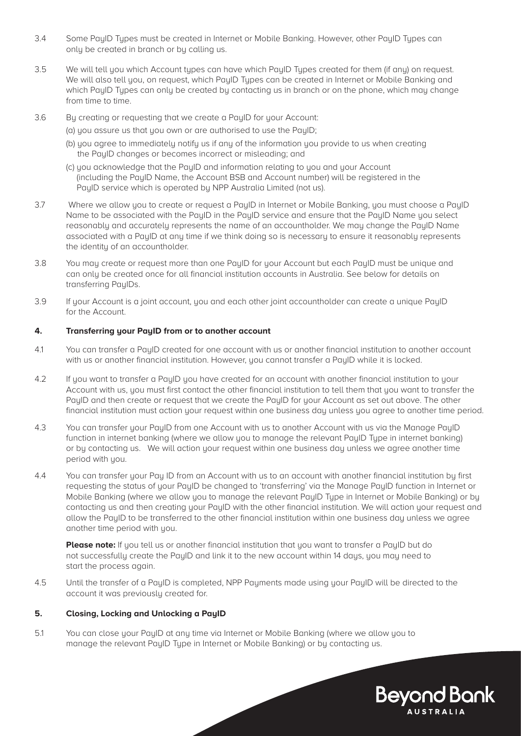- 3.4 Some PayID Types must be created in Internet or Mobile Banking. However, other PayID Types can only be created in branch or by calling us.
- 3.5 We will tell you which Account types can have which PayID Types created for them (if any) on request. We will also tell you, on request, which PayID Types can be created in Internet or Mobile Banking and which PayID Types can only be created by contacting us in branch or on the phone, which may change from time to time.
- 3.6 By creating or requesting that we create a PayID for your Account:
	- (a) you assure us that you own or are authorised to use the PayID;
	- (b) you agree to immediately notify us if any of the information you provide to us when creating the PauID changes or becomes incorrect or misleading; and
	- (c) you acknowledge that the PayID and information relating to you and your Account (including the PayID Name, the Account BSB and Account number) will be registered in the PayID service which is operated by NPP Australia Limited (not us).
- 3.7 Where we allow you to create or request a PayID in Internet or Mobile Banking, you must choose a PayID Name to be associated with the PayID in the PayID service and ensure that the PayID Name you select reasonably and accurately represents the name of an accountholder. We may change the PayID Name associated with a PayID at any time if we think doing so is necessary to ensure it reasonably represents the identity of an accountholder.
- 3.8 You may create or request more than one PayID for your Account but each PayID must be unique and can only be created once for all financial institution accounts in Australia. See below for details on transferring PayIDs.
- 3.9 If your Account is a joint account, you and each other joint accountholder can create a unique PayID for the Account.

#### **4. Transferring your PayID from or to another account**

- 4.1 You can transfer a PayID created for one account with us or another financial institution to another account with us or another financial institution. However, you cannot transfer a PayID while it is locked.
- 4.2 If you want to transfer a PayID you have created for an account with another financial institution to your Account with us, you must first contact the other financial institution to tell them that you want to transfer the PayID and then create or request that we create the PayID for your Account as set out above. The other financial institution must action your request within one business day unless you agree to another time period.
- 4.3 You can transfer your PayID from one Account with us to another Account with us via the Manage PayID function in internet banking (where we allow you to manage the relevant PayID Type in internet banking) or by contacting us. We will action your request within one business day unless we agree another time period with you.
- 4.4 You can transfer your Pay ID from an Account with us to an account with another financial institution by first requesting the status of your PayID be changed to 'transferring' via the Manage PayID function in Internet or Mobile Banking (where we allow you to manage the relevant PayID Type in Internet or Mobile Banking) or by contacting us and then creating your PayID with the other financial institution. We will action your request and allow the PayID to be transferred to the other financial institution within one business day unless we agree another time period with you.

**Please note:** If you tell us or another financial institution that you want to transfer a PayID but do not successfully create the PayID and link it to the new account within 14 days, you may need to start the process again.

4.5 Until the transfer of a PayID is completed, NPP Payments made using your PayID will be directed to the account it was previously created for.

#### **5. Closing, Locking and Unlocking a PayID**

5.1 You can close your PayID at any time via Internet or Mobile Banking (where we allow you to manage the relevant PauID Tupe in Internet or Mobile Banking) or bu contacting us.

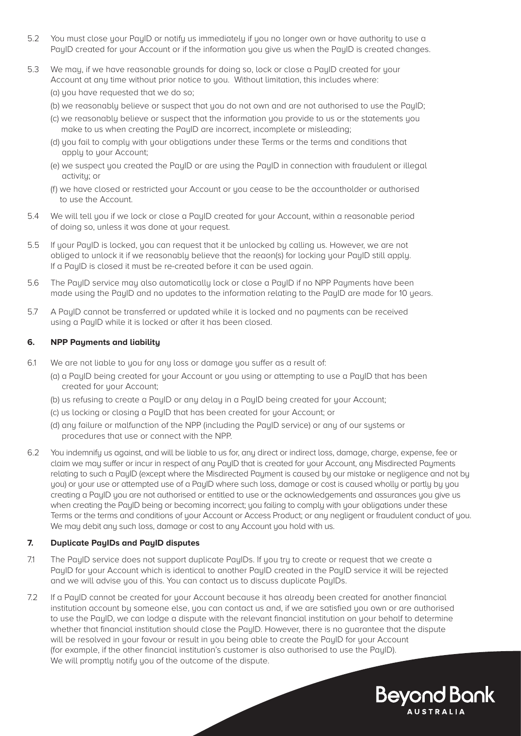- 5.2 You must close your PayID or notify us immediately if you no longer own or have authority to use a PauID created for your Account or if the information you give us when the PauID is created changes.
- 5.3 We may, if we have reasonable grounds for doing so, lock or close a PayID created for your Account at any time without prior notice to you. Without limitation, this includes where: (a) you have requested that we do so;
	- (b) we reasonably believe or suspect that you do not own and are not authorised to use the PayID;
	- (c) we reasonably believe or suspect that the information you provide to us or the statements you make to us when creating the PayID are incorrect, incomplete or misleading;
	- (d) you fail to comply with your obligations under these Terms or the terms and conditions that apply to your Account:
	- (e) we suspect you created the PayID or are using the PayID in connection with fraudulent or illegal activity; or
	- (f) we have closed or restricted your Account or you cease to be the accountholder or authorised to use the Account.
- 5.4 We will tell you if we lock or close a PayID created for your Account, within a reasonable period of doing so, unless it was done at your request.
- 5.5 If your PayID is locked, you can request that it be unlocked by calling us. However, we are not obliged to unlock it if we reasonably believe that the reaon(s) for locking your PayID still apply. If a PayID is closed it must be re-created before it can be used again.
- 5.6 The PayID service may also automatically lock or close a PayID if no NPP Payments have been made using the PayID and no updates to the information relating to the PayID are made for 10 years.
- 5.7 A PaulD cannot be transferred or updated while it is locked and no payments can be received using a PauID while it is locked or after it has been closed.

#### **6. NPP Payments and liability**

- 6.1 We are not liable to you for any loss or damage you suffer as a result of:
	- (a) a PayID being created for your Account or you using or attempting to use a PayID that has been created for your Account;
		- (b) us refusing to create a PayID or any delay in a PayID being created for your Account;
		- (c) us locking or closing a PayID that has been created for your Account; or
		- (d) any failure or malfunction of the NPP (including the PayID service) or any of our systems or procedures that use or connect with the NPP.
- 6.2 You indemnify us against, and will be liable to us for, any direct or indirect loss, damage, charge, expense, fee or claim we may suffer or incur in respect of any PayID that is created for your Account, any Misdirected Payments relating to such a PayID (except where the Misdirected Payment is caused by our mistake or negligence and not by uou) or your use or attempted use of a PauID where such loss, damage or cost is caused wholly or partly by you creating a PayID you are not authorised or entitled to use or the acknowledgements and assurances you give us when creating the PauID being or becoming incorrect; you failing to comply with your obligations under these Terms or the terms and conditions of your Account or Access Product; or any negligent or fraudulent conduct of you. We may debit any such loss, damage or cost to any Account you hold with us.

#### **7. Duplicate PayIDs and PayID disputes**

- 7.1 The PayID service does not support duplicate PayIDs. If you try to create or request that we create a PayID for your Account which is identical to another PayID created in the PayID service it will be rejected and we will advise you of this. You can contact us to discuss duplicate PayIDs.
- 7.2 If a PayID cannot be created for your Account because it has already been created for another financial institution account by someone else, you can contact us and, if we are satisfied you own or are authorised to use the PauID, we can lodge a dispute with the relevant financial institution on your behalf to determine whether that financial institution should close the PayID. However, there is no guarantee that the dispute will be resolved in your favour or result in you being able to create the PayID for your Account (for example, if the other financial institution's customer is also authorised to use the PayID). We will promptly notify you of the outcome of the dispute.

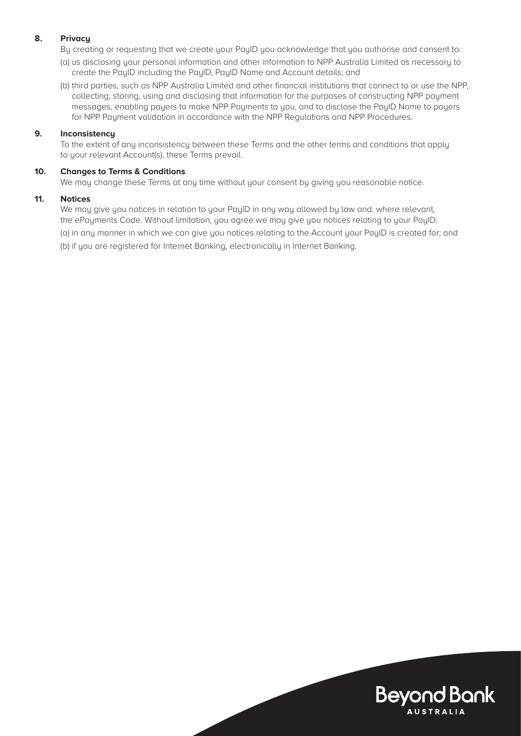#### **8. Privacy**

By creating or requesting that we create your PayID you acknowledge that you authorise and consent to:

- (a) us disclosing your personal information and other information to NPP Australia Limited as necessary to create the PayID including the PayID, PayID Name and Account details; and
- (b) third parties, such as NPP Australia Limited and other financial institutions that connect to or use the NPP, collecting, storing, using and disclosing that information for the purposes of constructing NPP payment messages, enabling payers to make NPP Payments to you, and to disclose the PayID Name to payers for NPP Payment validation in accordance with the NPP Regulations and NPP Procedures.

#### **9. Inconsistency**

To the extent of any inconsistency between these Terms and the other terms and conditions that apply to your relevant Account(s), these Terms prevail.

#### **10. Changes to Terms & Conditions**

We may change these Terms at any time without your consent by giving you reasonable notice.

#### **11. Notices**

We may give you notices in relation to your PayID in any way allowed by law and, where relevant, the ePayments Code. Without limitation, you agree we may give you notices relating to your PayID:

(a) in any manner in which we can give you notices relating to the Account your PayID is created for; and

(b) if you are registered for Internet Banking, electronically in Internet Banking.